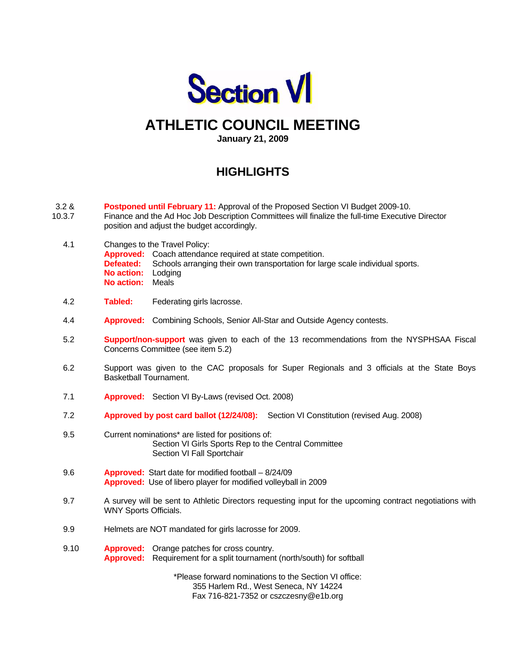

# **ATHLETIC COUNCIL MEETING**

**January 21, 2009** 

# **HIGHLIGHTS**

- 3.2 & **Postponed until February 11:** Approval of the Proposed Section VI Budget 2009-10.
- 10.3.7 Finance and the Ad Hoc Job Description Committees will finalize the full-time Executive Director position and adjust the budget accordingly.
	- 4.1 Changes to the Travel Policy: **Approved:** Coach attendance required at state competition. **Defeated:** Schools arranging their own transportation for large scale individual sports.  **No action:** Lodging  **No action:** Meals
	- 4.2 **Tabled:** Federating girls lacrosse.
	- 4.4 **Approved:** Combining Schools, Senior All-Star and Outside Agency contests.
	- 5.2 **Support/non-support** was given to each of the 13 recommendations from the NYSPHSAA Fiscal Concerns Committee (see item 5.2)
	- 6.2 Support was given to the CAC proposals for Super Regionals and 3 officials at the State Boys Basketball Tournament.
	- 7.1 **Approved:** Section VI By-Laws (revised Oct. 2008)
	- 7.2 **Approved by post card ballot (12/24/08):** Section VI Constitution (revised Aug. 2008)
	- 9.5 Current nominations\* are listed for positions of: Section VI Girls Sports Rep to the Central Committee Section VI Fall Sportchair
	- 9.6 **Approved:** Start date for modified football 8/24/09 **Approved:** Use of libero player for modified volleyball in 2009
	- 9.7 A survey will be sent to Athletic Directors requesting input for the upcoming contract negotiations with WNY Sports Officials.
	- 9.9 Helmets are NOT mandated for girls lacrosse for 2009.
	- 9.10 **Approved:** Orange patches for cross country. **Approved:** Requirement for a split tournament (north/south) for softball

\*Please forward nominations to the Section VI office: 355 Harlem Rd., West Seneca, NY 14224 Fax 716-821-7352 or cszczesny@e1b.org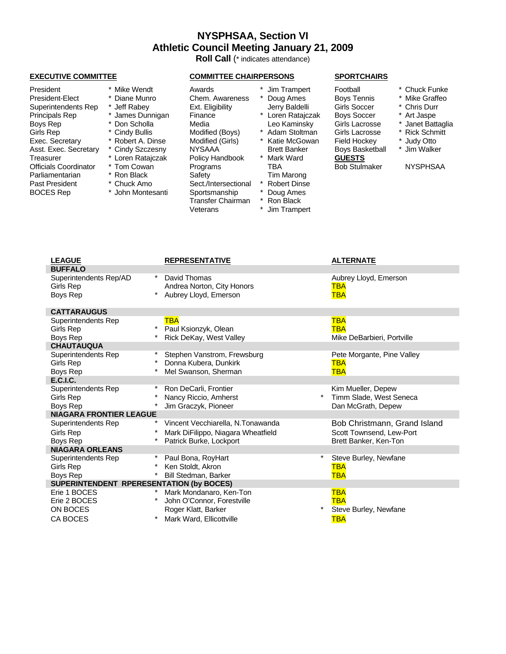## **NYSPHSAA, Section VI Athletic Council Meeting January 21, 2009**

**Roll Call** (\* indicates attendance)

| President             | Mike Wendt        | Awards               | Jim Trampert        | Football             | * Chuck Funke   |
|-----------------------|-------------------|----------------------|---------------------|----------------------|-----------------|
| President-Elect       | Diane Munro       | Chem. Awareness      | Doug Ames           | <b>Boys Tennis</b>   | * Mike Graffeo  |
| Superintendents Rep   | * Jeff Rabey      | Ext. Eligibility     | Jerry Baldelli      | Girls Soccer         | * Chris Durr    |
| Principals Rep        | * James Dunnigan  | Finance              | Loren Ratajczak     | <b>Boys Soccer</b>   | * Art Jaspe     |
| Boys Rep              | * Don Scholla     | Media                | Leo Kaminsky        | Girls Lacrosse       | * Janet Battag  |
| Girls Rep             | * Cindy Bullis    | Modified (Boys)      | Adam Stoltman       | Girls Lacrosse       | * Rick Schmitt  |
| Exec. Secretary       | * Robert A. Dinse | Modified (Girls)     | Katie McGowan       | Field Hockey         | Judy Otto       |
| Asst. Exec. Secretary | * Cindy Szczesny  | <b>NYSAAA</b>        | <b>Brett Banker</b> | Boys Basketball      | * Jim Walker    |
| Treasurer             | * Loren Ratajczak | Policy Handbook      | Mark Ward           | <b>GUESTS</b>        |                 |
| Officials Coordinator | * Tom Cowan       | Programs             | TBA                 | <b>Bob Stulmaker</b> | <b>NYSPHSAA</b> |
| Parliamentarian       | Ron Black         | Safety               | Tim Marong          |                      |                 |
| Past President        | * Chuck Amo       | Sect./Intersectional | <b>Robert Dinse</b> |                      |                 |
| <b>BOCES Rep</b>      | John Montesanti   | Sportsmanship        | Doug Ames           |                      |                 |
|                       |                   | Transfer Chairman    | Ron Black           |                      |                 |
|                       |                   | Veterans             | Jim Trampert        |                      |                 |

#### **EXECUTIVE COMMITTEE COMMITTEE CHAIRPERSONS SPORTCHAIRS**

is Soccer \* Chris Durr Principals Rep \* James Dunnigan Finance \* Loren Ratajczak Boys Soccer \* Art Jaspe y<br>Is Lacrosse \* Janet Battaglia<br>Is Lacrosse \* Rick Schmitt Girls Rep \* Rick Schmitt<br>Is Lacrosse \* Rick Schmitt<br>Id Hockey \* Judy Otto Id Hockey <sup>\*</sup> Judy Otto<br>ys Basketball \* Jim Walke

- President Awards \* Chuck Funke
- ys Tennis \* Mike Graffeo
	-
	-
	-
	-
	-
- ys Basketball <sup>\*</sup> Jim Walker<br>IESTS

| <b>LEAGUE</b>                            | <b>REPRESENTATIVE</b>                  | <b>ALTERNATE</b>             |
|------------------------------------------|----------------------------------------|------------------------------|
| <b>BUFFALO</b>                           |                                        |                              |
| Superintendents Rep/AD                   | $\ast$<br>David Thomas                 | Aubrey Lloyd, Emerson        |
| Girls Rep                                | Andrea Norton, City Honors             | TBA                          |
| Boys Rep                                 | Aubrey Lloyd, Emerson                  | <b>TBA</b>                   |
|                                          |                                        |                              |
| <b>CATTARAUGUS</b>                       |                                        |                              |
| Superintendents Rep                      | <b>TBA</b>                             | <b>TBA</b>                   |
| Girls Rep                                | Paul Ksionzyk, Olean                   | <b>TBA</b>                   |
| Boys Rep                                 | Rick DeKay, West Valley                | Mike DeBarbieri, Portville   |
| <b>CHAUTAUQUA</b>                        |                                        |                              |
| Superintendents Rep                      | Stephen Vanstrom, Frewsburg            | Pete Morgante, Pine Valley   |
| Girls Rep                                | Donna Kubera, Dunkirk                  | TBA                          |
| Boys Rep                                 | Mel Swanson, Sherman                   | <b>TBA</b>                   |
| <b>E.C.I.C.</b>                          |                                        |                              |
| Superintendents Rep                      | Ron DeCarli, Frontier                  | Kim Mueller, Depew           |
| Girls Rep                                | Nancy Riccio, Amherst                  | Timm Slade, West Seneca      |
| Boys Rep                                 | Jim Graczyk, Pioneer                   | Dan McGrath, Depew           |
| <b>NIAGARA FRONTIER LEAGUE</b>           |                                        |                              |
| Superintendents Rep                      | *<br>Vincent Vecchiarella, N.Tonawanda | Bob Christmann, Grand Island |
| Girls Rep                                | Mark DiFilippo, Niagara Wheatfield     | Scott Townsend, Lew-Port     |
| Boys Rep                                 | Patrick Burke, Lockport                | Brett Banker, Ken-Ton        |
| <b>NIAGARA ORLEANS</b>                   |                                        |                              |
| Superintendents Rep                      | Paul Bona, RoyHart                     | Steve Burley, Newfane        |
| Girls Rep                                | Ken Stoldt, Akron                      | TBA                          |
| Boys Rep                                 | Bill Stedman, Barker                   | <b>TBA</b>                   |
| SUPERINTENDENT RPERESENTATION (by BOCES) |                                        |                              |
| Erie 1 BOCES                             | Mark Mondanaro, Ken-Ton                | <b>TBA</b>                   |
| Erie 2 BOCES                             | John O'Connor, Forestville             | <b>TBA</b>                   |
| ON BOCES                                 | Roger Klatt, Barker                    | Steve Burley, Newfane        |
| CA BOCES                                 | Mark Ward, Ellicottville               | <b>TBA</b>                   |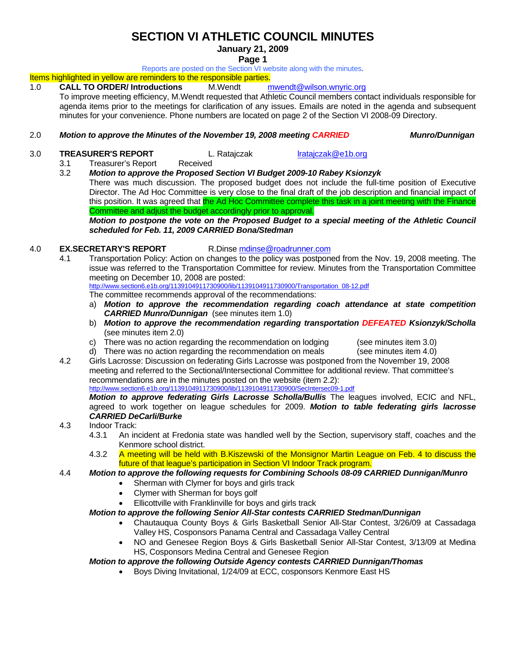# **SECTION VI ATHLETIC COUNCIL MINUTES**

#### **January 21, 2009**

**Page 1** 

Reports are posted on the Section VI website along with the minutes.

### Items highlighted in yellow are reminders to the responsible parties.

1.0 **CALL TO ORDER/ Introductions** M.Wendt mwendt@wilson.wnyric.org To improve meeting efficiency, M.Wendt requested that Athletic Council members contact individuals responsible for agenda items prior to the meetings for clarification of any issues. Emails are noted in the agenda and subsequent minutes for your convenience. Phone numbers are located on page 2 of the Section VI 2008-09 Directory.

- 2.0 *Motion to approve the Minutes of the November 19, 2008 meeting CARRIED Munro/Dunnigan*
- 3.0 **TREASURER'S REPORT** L. Ratajczak lratajczak@e1b.org

- 3.1 Treasurer's Report Received
- 3.2 *Motion to approve the Proposed Section VI Budget 2009-10 Rabey Ksionzyk*

 There was much discussion. The proposed budget does not include the full-time position of Executive Director. The Ad Hoc Committee is very close to the final draft of the job description and financial impact of this position. It was agreed that the Ad Hoc Committee complete this task in a joint meeting with the Finance Committee and adjust the budget accordingly prior to approval.

*Motion to postpone the vote on the Proposed Budget to a special meeting of the Athletic Council scheduled for Feb. 11, 2009 CARRIED Bona/Stedman* 

#### 4.0 **EX.SECRETARY'S REPORT** R.Dinse mdinse@roadrunner.com

4.1 Transportation Policy: Action on changes to the policy was postponed from the Nov. 19, 2008 meeting. The issue was referred to the Transportation Committee for review. Minutes from the Transportation Committee meeting on December 10, 2008 are posted:<br>http://www.section6.e1b.org/1139104911730900/lib/1139104911730900/Transportation\_08-12.pdf

The committee recommends approval of the recommendations:

- a) *Motion to approve the recommendation regarding coach attendance at state competition CARRIED Munro/Dunnigan* (see minutes item 1.0)
- b) *Motion to approve the recommendation regarding transportation DEFEATED Ksionzyk/Scholla*  (see minutes item 2.0)
- c) There was no action regarding the recommendation on lodging (see minutes item 3.0)

d) There was no action regarding the recommendation on meals (see minutes item 4.0) 4.2 Girls Lacrosse: Discussion on federating Girls Lacrosse was postponed from the November 19, 2008 meeting and referred to the Sectional/Intersectional Committee for additional review. That committee's recommendations are in the minutes posted on the website (item 2.2):

http://www.section6.e1b.org/1139104911730900/lib/1139104911730900/SecIntersec09-1.pdf

*Motion to approve federating Girls Lacrosse Scholla/Bullis* The leagues involved, ECIC and NFL, agreed to work together on league schedules for 2009. *Motion to table federating girls lacrosse CARRIED DeCarli/Burke*

- 4.3 Indoor Track:
	- 4.3.1 An incident at Fredonia state was handled well by the Section, supervisory staff, coaches and the Kenmore school district.
	- 4.3.2 A meeting will be held with B.Kiszewski of the Monsignor Martin League on Feb. 4 to discuss the future of that league's participation in Section VI Indoor Track program.

4.4 *Motion to approve the following requests for Combining Schools 08-09 CARRIED Dunnigan/Munro* 

- Sherman with Clymer for boys and girls track
- Clymer with Sherman for boys golf
- Ellicottville with Franklinville for boys and girls track

#### *Motion to approve the following Senior All-Star contests CARRIED Stedman/Dunnigan*

- Chautauqua County Boys & Girls Basketball Senior All-Star Contest, 3/26/09 at Cassadaga Valley HS, Cosponsors Panama Central and Cassadaga Valley Central
- NO and Genesee Region Boys & Girls Basketball Senior All-Star Contest, 3/13/09 at Medina HS, Cosponsors Medina Central and Genesee Region

#### *Motion to approve the following Outside Agency contests CARRIED Dunnigan/Thomas*

• Boys Diving Invitational, 1/24/09 at ECC, cosponsors Kenmore East HS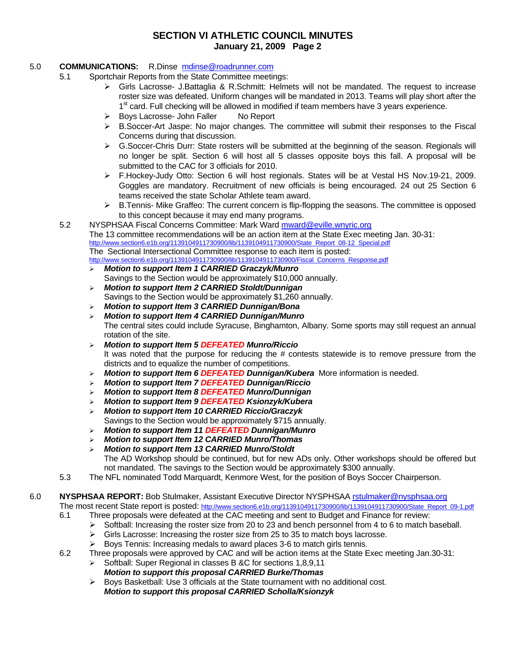### **SECTION VI ATHLETIC COUNCIL MINUTES January 21, 2009 Page 2**

#### 5.0 **COMMUNICATIONS:** R.Dinse mdinse@roadrunner.com

- 5.1 Sportchair Reports from the State Committee meetings:
	- ¾ Girls Lacrosse- J.Battaglia & R.Schmitt: Helmets will not be mandated. The request to increase roster size was defeated. Uniform changes will be mandated in 2013. Teams will play short after the  $1<sup>st</sup>$  card. Full checking will be allowed in modified if team members have 3 years experience.
	- ¾ Boys Lacrosse- John Faller No Report
	- $\triangleright$  B. Soccer-Art Jaspe: No major changes. The committee will submit their responses to the Fiscal Concerns during that discussion.
	- $\triangleright$  G.Soccer-Chris Durr: State rosters will be submitted at the beginning of the season. Regionals will no longer be split. Section 6 will host all 5 classes opposite boys this fall. A proposal will be submitted to the CAC for 3 officials for 2010.
	- ¾ F.Hockey-Judy Otto: Section 6 will host regionals. States will be at Vestal HS Nov.19-21, 2009. Goggles are mandatory. Recruitment of new officials is being encouraged. 24 out 25 Section 6 teams received the state Scholar Athlete team award.
	- $\triangleright$  B. Tennis- Mike Graffeo: The current concern is flip-flopping the seasons. The committee is opposed to this concept because it may end many programs.
	- 5.2 NYSPHSAA Fiscal Concerns Committee: Mark Ward mward@eville.wnyric.org The 13 committee recommendations will be an action item at the State Exec meeting Jan. 30-31: http://www.section6.e1b.org/1139104911730900/lib/1139104911730900/State\_Report\_08-12\_Special.pdf The Sectional Intersectional Committee response to each item is posted: http://www.section6.e1b.org/1139104911730900/lib/1139104911730900/Fiscal\_Concerns\_Response.pdf
		- ¾ *Motion to support Item 1 CARRIED Graczyk/Munro*  Savings to the Section would be approximately \$10,000 annually.
		- ¾ *Motion to support Item 2 CARRIED Stoldt/Dunnigan*  Savings to the Section would be approximately \$1,260 annually.
		- ¾ *Motion to support Item 3 CARRIED Dunnigan/Bona*
		- ¾ *Motion to support Item 4 CARRIED Dunnigan/Munro*  The central sites could include Syracuse, Binghamton, Albany. Some sports may still request an annual rotation of the site.
		- ¾ *Motion to support Item 5 DEFEATED Munro/Riccio*  It was noted that the purpose for reducing the # contests statewide is to remove pressure from the districts and to equalize the number of competitions.
		- ¾ *Motion to support Item 6 DEFEATED Dunnigan/Kubera* More information is needed.
		- ¾ *Motion to support Item 7 DEFEATED Dunnigan/Riccio*
		- ¾ *Motion to support Item 8 DEFEATED Munro/Dunnigan*
		- ¾ *Motion to support Item 9 DEFEATED Ksionzyk/Kubera*
		- ¾ *Motion to support Item 10 CARRIED Riccio/Graczyk*  Savings to the Section would be approximately \$715 annually.
		- ¾ *Motion to support Item 11 DEFEATED Dunnigan/Munro*
		- ¾ *Motion to support Item 12 CARRIED Munro/Thomas*
		- ¾ *Motion to support Item 13 CARRIED Munro/Stoldt* The AD Workshop should be continued, but for new ADs only. Other workshops should be offered but not mandated. The savings to the Section would be approximately \$300 annually.
	- 5.3 The NFL nominated Todd Marquardt, Kenmore West, for the position of Boys Soccer Chairperson.

### 6.0 **NYSPHSAA REPORT:** Bob Stulmaker, Assistant Executive Director NYSPHSAA rstulmaker@nysphsaa.org

The most recent State report is posted: http://www.section6.e1b.org/1139104911730900/lib/1139104911730900/State\_Report\_09-1.pdf

- 6.1 Three proposals were defeated at the CAC meeting and sent to Budget and Finance for review:
	- $\triangleright$  Softball: Increasing the roster size from 20 to 23 and bench personnel from 4 to 6 to match baseball.
	- $\triangleright$  Girls Lacrosse: Increasing the roster size from 25 to 35 to match boys lacrosse.
	- $\triangleright$  Boys Tennis: Increasing medals to award places 3-6 to match girls tennis.
- 6.2 Three proposals were approved by CAC and will be action items at the State Exec meeting Jan.30-31:
	- ¾ Softball: Super Regional in classes B &C for sections 1,8,9,11
		- *Motion to support this proposal CARRIED Burke/Thomas*
	- $\triangleright$  Boys Basketball: Use 3 officials at the State tournament with no additional cost.
		- *Motion to support this proposal CARRIED Scholla/Ksionzyk*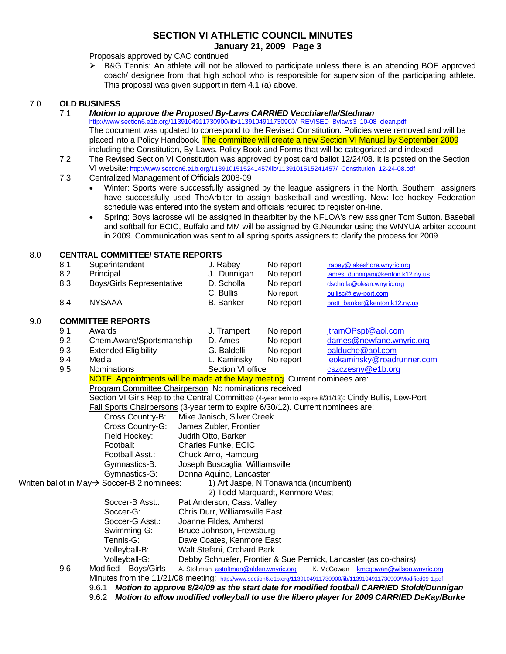#### **SECTION VI ATHLETIC COUNCIL MINUTES January 21, 2009 Page 3**

Proposals approved by CAC continued

 $\triangleright$  B&G Tennis: An athlete will not be allowed to participate unless there is an attending BOE approved coach/ designee from that high school who is responsible for supervision of the participating athlete. This proposal was given support in item 4.1 (a) above.

#### 7.0 **OLD BUSINESS**

7.1 *Motion to approve the Proposed By-Laws CARRIED Vecchiarella/Stedman*

http://www.section6.e1b.org/1139104911730900/lib/1139104911730900/\_REVISED\_Bylaws3\_10-08\_clean.pdf The document was updated to correspond to the Revised Constitution. Policies were removed and will be placed into a Policy Handbook. The committee will create a new Section VI Manual by September 2009 including the Constitution, By-Laws, Policy Book and Forms that will be categorized and indexed.

- 7.2 The Revised Section VI Constitution was approved by post card ballot 12/24/08. It is posted on the Section VI website: http://www.section6.e1b.org/1139101515241457/lib/1139101515241457/\_Constitution\_12-24-08.pdf
- 7.3 Centralized Management of Officials 2008-09
	- Winter: Sports were successfully assigned by the league assigners in the North. Southern assigners have successfully used TheArbiter to assign basketball and wrestling. New: Ice hockey Federation schedule was entered into the system and officials required to register on-line.
	- Spring: Boys lacrosse will be assigned in thearbiter by the NFLOA's new assigner Tom Sutton. Baseball and softball for ECIC, Buffalo and MM will be assigned by G.Neunder using the WNYUA arbiter account in 2009. Communication was sent to all spring sports assigners to clarify the process for 2009.

#### 8.0 **CENTRAL COMMITTEE/ STATE REPORTS**

|     |                  |                                                                                                                       |                                 |                                        |           |  | in 2009. Communication was sent to all spring sports assigners to clarify the process for 2009. |  |  |
|-----|------------------|-----------------------------------------------------------------------------------------------------------------------|---------------------------------|----------------------------------------|-----------|--|-------------------------------------------------------------------------------------------------|--|--|
| 8.0 |                  | <b>CENTRAL COMMITTEE/ STATE REPORTS</b>                                                                               |                                 |                                        |           |  |                                                                                                 |  |  |
|     | 8.1              | Superintendent                                                                                                        |                                 | J. Rabey                               | No report |  | jrabey@lakeshore.wnyric.org                                                                     |  |  |
|     | 8.2<br>Principal |                                                                                                                       |                                 | J. Dunnigan                            | No report |  | james_dunnigan@kenton.k12.ny.us                                                                 |  |  |
|     | 8.3              | Boys/Girls Representative                                                                                             |                                 | D. Scholla                             | No report |  | dscholla@olean.wnyric.org                                                                       |  |  |
|     |                  |                                                                                                                       |                                 |                                        | No report |  | bullisc@lew-port.com                                                                            |  |  |
|     | 8.4              | <b>NYSAAA</b>                                                                                                         |                                 | <b>B.</b> Banker                       | No report |  | brett_banker@kenton.k12.ny.us                                                                   |  |  |
| 9.0 |                  | <b>COMMITTEE REPORTS</b>                                                                                              |                                 |                                        |           |  |                                                                                                 |  |  |
|     | 9.1              | Awards                                                                                                                |                                 | J. Trampert                            | No report |  | jtramOPspt@aol.com                                                                              |  |  |
| 9.2 |                  | Chem.Aware/Sportsmanship                                                                                              |                                 |                                        | No report |  | dames@newfane.wnyric.org                                                                        |  |  |
|     | 9.3              | <b>Extended Eligibility</b>                                                                                           |                                 | G. Baldelli                            | No report |  | balduche@aol.com                                                                                |  |  |
|     | 9.4              | Media                                                                                                                 |                                 | L. Kaminsky                            | No report |  | leokaminsky@roadrunner.com                                                                      |  |  |
|     | 9.5              | Nominations                                                                                                           |                                 | Section VI office                      |           |  | cszczesny@e1b.org                                                                               |  |  |
|     |                  | NOTE: Appointments will be made at the May meeting. Current nominees are:                                             |                                 |                                        |           |  |                                                                                                 |  |  |
|     |                  | Program Committee Chairperson No nominations received                                                                 |                                 |                                        |           |  |                                                                                                 |  |  |
|     |                  | Section VI Girls Rep to the Central Committee (4-year term to expire 8/31/13): Cindy Bullis, Lew-Port                 |                                 |                                        |           |  |                                                                                                 |  |  |
|     |                  | Fall Sports Chairpersons (3-year term to expire 6/30/12). Current nominees are:                                       |                                 |                                        |           |  |                                                                                                 |  |  |
|     |                  | Cross Country-B:                                                                                                      |                                 | Mike Janisch, Silver Creek             |           |  |                                                                                                 |  |  |
|     |                  | Cross Country-G:                                                                                                      |                                 | James Zubler, Frontier                 |           |  |                                                                                                 |  |  |
|     |                  | Field Hockey:                                                                                                         |                                 | Judith Otto, Barker                    |           |  |                                                                                                 |  |  |
|     |                  | Football:                                                                                                             |                                 | Charles Funke, ECIC                    |           |  |                                                                                                 |  |  |
|     |                  | Football Asst.:                                                                                                       |                                 | Chuck Amo, Hamburg                     |           |  |                                                                                                 |  |  |
|     |                  | Gymnastics-B:                                                                                                         | Joseph Buscaglia, Williamsville |                                        |           |  |                                                                                                 |  |  |
|     |                  | Gymnastics-G:                                                                                                         |                                 | Donna Aquino, Lancaster                |           |  |                                                                                                 |  |  |
|     |                  | Written ballot in May→ Soccer-B 2 nominees:                                                                           |                                 | 1) Art Jaspe, N.Tonawanda (incumbent)  |           |  |                                                                                                 |  |  |
|     |                  |                                                                                                                       |                                 | 2) Todd Marquardt, Kenmore West        |           |  |                                                                                                 |  |  |
|     |                  | Soccer-B Asst.:                                                                                                       |                                 | Pat Anderson, Cass. Valley             |           |  |                                                                                                 |  |  |
|     |                  | Soccer-G:                                                                                                             |                                 | Chris Durr, Williamsville East         |           |  |                                                                                                 |  |  |
|     |                  | Soccer-G Asst.:                                                                                                       |                                 | Joanne Fildes, Amherst                 |           |  |                                                                                                 |  |  |
|     |                  | Swimming-G:                                                                                                           |                                 | Bruce Johnson, Frewsburg               |           |  |                                                                                                 |  |  |
|     |                  | Tennis-G:                                                                                                             |                                 | Dave Coates, Kenmore East              |           |  |                                                                                                 |  |  |
|     |                  | Volleyball-B:                                                                                                         |                                 | Walt Stefani, Orchard Park             |           |  |                                                                                                 |  |  |
|     |                  | Volleyball-G:                                                                                                         |                                 |                                        |           |  | Debby Schruefer, Frontier & Sue Pernick, Lancaster (as co-chairs)                               |  |  |
|     | 9.6              | Modified - Boys/Girls                                                                                                 |                                 | A. Stoltman astoltman@alden.wnyric.org |           |  | K. McGowan kmcgowan@wilson.wnyric.org                                                           |  |  |
|     |                  | Minutes from the 11/21/08 meeting: http://www.section6.e1b.org/1139104911730900/lib/1139104911730900/Modified09-1.pdf |                                 |                                        |           |  |                                                                                                 |  |  |
|     |                  | 9.6.1                                                                                                                 |                                 |                                        |           |  | Motion to approve 8/24/09 as the start date for modified football CARRIED Stoldt/Dunnigan       |  |  |
|     |                  | 9.6.2 Motion to allow modified volleyball to use the libero player for 2009 CARRIED DeKay/Burke                       |                                 |                                        |           |  |                                                                                                 |  |  |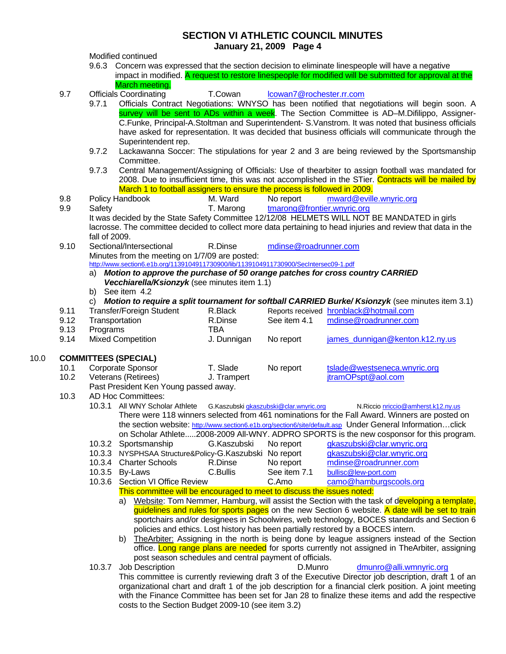- **SECTION VI ATHLETIC COUNCIL MINUTES January 21, 2009 Page 4**  Modified continued 9.6.3 Concern was expressed that the section decision to eliminate linespeople will have a negative impact in modified. A request to restore linespeople for modified will be submitted for approval at the March meeting. 9.7 Officials Coordinating T.Cowan Icowan7@rochester.rr.com 9.7.1 Officials Contract Negotiations: WNYSO has been notified that negotiations will begin soon. A survey will be sent to ADs within a week. The Section Committee is AD–M.Difilippo, Assigner-C.Funke, Principal-A.Stoltman and Superintendent- S.Vanstrom. It was noted that business officials have asked for representation. It was decided that business officials will communicate through the Superintendent rep. 9.7.2 Lackawanna Soccer: The stipulations for year 2 and 3 are being reviewed by the Sportsmanship Committee. 9.7.3 Central Management/Assigning of Officials: Use of thearbiter to assign football was mandated for 2008. Due to insufficient time, this was not accomplished in the STier. Contracts will be mailed by March 1 to football assigners to ensure the process is followed in 2009. 9.8 Policy Handbook M. Ward No report mward@eville.wnyric.org 9.9 Safety T. Marong tmarong@frontier.wnyric.org It was decided by the State Safety Committee 12/12/08 HELMETS WILL NOT BE MANDATED in girls lacrosse. The committee decided to collect more data pertaining to head injuries and review that data in the fall of 2009. 9.10 Sectional/Intersectional R.Dinse mdinse@roadrunner.com Minutes from the meeting on 1/7/09 are posted: http://www.section6.e1b.org/1139104911730900/lib/1139104911730900/SecIntersec09-1.pdf a) *Motion to approve the purchase of 50 orange patches for cross country CARRIED Vecchiarella/Ksionzyk* (see minutes item 1.1) b) See item 4.2 c) *Motion to require a split tournament for softball CARRIED Burke/ Ksionzyk* (see minutes item 3.1) 9.11 Transfer/Foreign Student R.Black Reports received hronblack@hotmail.com 9.12 Transportation R.Dinse See item 4.1 mdinse@roadrunner.com 9.13 Programs TBA 9.14 Mixed Competition J. Dunnigan No report james dunnigan@kenton.k12.ny.us 10.0 **COMMITTEES (SPECIAL)** 10.1 Corporate Sponsor T. Slade No report tslade@westseneca.wnyric.org 10.2 Veterans (Retirees) J. Trampert in the itramOPspt@aol.com Past President Ken Young passed away. 10.3 AD Hoc Committees: 10.3.1 All WNY Scholar Athlete G.Kaszubski gkaszubski@clar.wnyric.org N.Riccio nriccio@amherst.k12.ny.us There were 118 winners selected from 461 nominations for the Fall Award. Winners are posted on the section website: http://www.section6.e1b.org/section6/site/default.asp Under General Information…click on Scholar Athlete.....2008-2009 All-WNY. ADPRO SPORTS is the new cosponsor for this program.<br>Sportsmanship G.Kaszubski No report gkaszubski@clar.wnyric.org 10.3.2 Sportsmanship G.Kaszubski No report gkaszubski@clar.wnyric.org 10.3.3 NYSPHSAA Structure&Policy-G.Kaszubski No report gkaszubski@clar.wnyric.org 10.3.4 Charter Schools R.Dinse No report modinse@roadrunner.com<br>10.3.5 By-Laws C.Bullis See item 7.1 bullisc@lew-port.com bullisc@lew-port.com 10.3.6 Section VI Office Review C.Amo camo@hamburgscools.org This committee will be encouraged to meet to discuss the issues noted: a) Website: Tom Nemmer, Hamburg, will assist the Section with the task of developing a template, guidelines and rules for sports pages on the new Section 6 website. A date will be set to train sportchairs and/or designees in Schoolwires, web technology, BOCES standards and Section 6
	- policies and ethics. Lost history has been partially restored by a BOCES intern. b) TheArbiter: Assigning in the north is being done by league assigners instead of the Section office. Long range plans are needed for sports currently not assigned in TheArbiter, assigning post season schedules and central payment of officials.
	- 10.3.7 Job Description D.Munro dmunro@alli.wmnyric.org This committee is currently reviewing draft 3 of the Executive Director job description, draft 1 of an organizational chart and draft 1 of the job description for a financial clerk position. A joint meeting with the Finance Committee has been set for Jan 28 to finalize these items and add the respective costs to the Section Budget 2009-10 (see item 3.2)